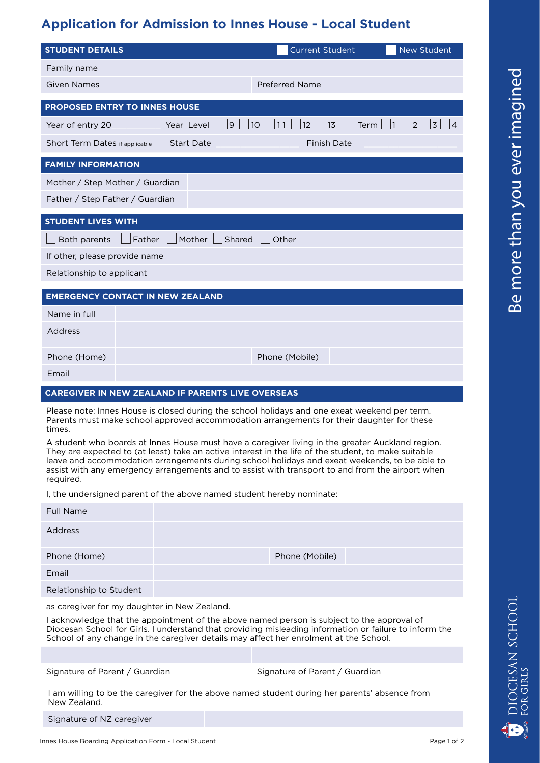## **Application for Admission to Innes House - Local Student**

Please note: Innes House is closed during the school holidays and one exeat weekend per term. Parents must make school approved accommodation arrangements for their daughter for these times.

A student who boards at Innes House must have a caregiver living in the greater Auckland region. They are expected to (at least) take an active interest in the life of the student, to make suitable leave and accommodation arrangements during school holidays and exeat weekends, to be able to assist with any emergency arrangements and to assist with transport to and from the airport when required.

I, the undersigned parent of the above named student hereby nominate:

| <b>Full Name</b>               |  |
|--------------------------------|--|
| <b>Address</b>                 |  |
| Phone (Mobile)<br>Phone (Home) |  |
| Email                          |  |
| Relationship to Student        |  |

as caregiver for my daughter in New Zealand.

I acknowledge that the appointment of the above named person is subject to the approval of Diocesan School for Girls. I understand that providing misleading information or failure to inform the School of any change in the caregiver details may affect her enrolment at the School.

Signature of Parent / Guardian Signature of Parent / Guardian

I am willing to be the caregiver for the above named student during her parents' absence from New Zealand.

Signature of NZ caregiver

**OCESAN SCHOOL** 

**GIRLS**